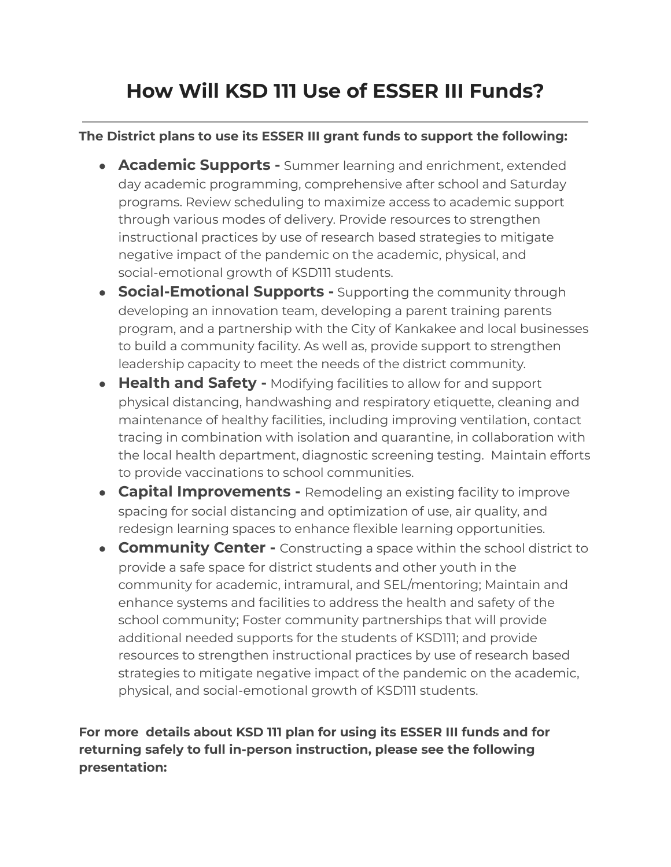## **How Will KSD 111 Use of ESSER III Funds?**

## **The District plans to use its ESSER III grant funds to support the following:**

- **Academic Supports -** Summer learning and enrichment, extended day academic programming, comprehensive after school and Saturday programs. Review scheduling to maximize access to academic support through various modes of delivery. Provide resources to strengthen instructional practices by use of research based strategies to mitigate negative impact of the pandemic on the academic, physical, and social-emotional growth of KSD111 students.
- **Social-Emotional Supports -** Supporting the community through developing an innovation team, developing a parent training parents program, and a partnership with the City of Kankakee and local businesses to build a community facility. As well as, provide support to strengthen leadership capacity to meet the needs of the district community.
- **Health and Safety -** Modifying facilities to allow for and support physical distancing, handwashing and respiratory etiquette, cleaning and maintenance of healthy facilities, including improving ventilation, contact tracing in combination with isolation and quarantine, in collaboration with the local health department, diagnostic screening testing. Maintain efforts to provide vaccinations to school communities.
- **Capital Improvements -** Remodeling an existing facility to improve spacing for social distancing and optimization of use, air quality, and redesign learning spaces to enhance flexible learning opportunities.
- **Community Center -** Constructing a space within the school district to provide a safe space for district students and other youth in the community for academic, intramural, and SEL/mentoring; Maintain and enhance systems and facilities to address the health and safety of the school community; Foster community partnerships that will provide additional needed supports for the students of KSD111; and provide resources to strengthen instructional practices by use of research based strategies to mitigate negative impact of the pandemic on the academic, physical, and social-emotional growth of KSD111 students.

**For more details about KSD 111 plan for using its ESSER III funds and for returning safely to full in-person instruction, please see the following presentation:**